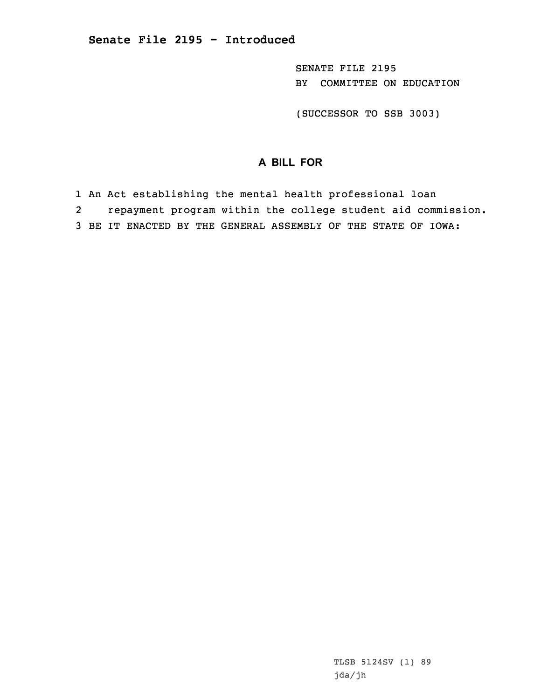SENATE FILE 2195 BY COMMITTEE ON EDUCATION

(SUCCESSOR TO SSB 3003)

## **A BILL FOR**

1 An Act establishing the mental health professional loan

2repayment program within the college student aid commission.

3 BE IT ENACTED BY THE GENERAL ASSEMBLY OF THE STATE OF IOWA: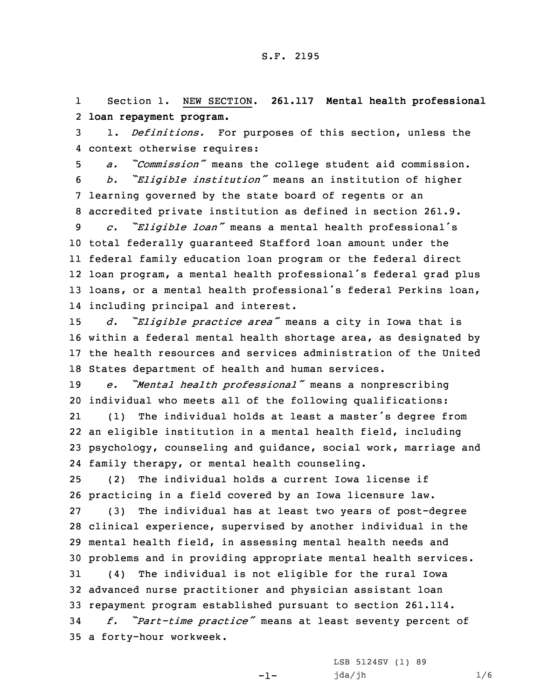1 Section 1. NEW SECTION. **261.117 Mental health professional** 2 **loan repayment program.**

3 1. *Definitions.* For purposes of this section, unless the 4 context otherwise requires:

 *a. "Commission"* means the college student aid commission. *b. "Eligible institution"* means an institution of higher learning governed by the state board of regents or an accredited private institution as defined in section 261.9.

 *c. "Eligible loan"* means <sup>a</sup> mental health professional's total federally guaranteed Stafford loan amount under the federal family education loan program or the federal direct loan program, <sup>a</sup> mental health professional's federal grad plus loans, or <sup>a</sup> mental health professional's federal Perkins loan, including principal and interest.

 *d. "Eligible practice area"* means <sup>a</sup> city in Iowa that is within <sup>a</sup> federal mental health shortage area, as designated by the health resources and services administration of the United States department of health and human services.

<sup>19</sup> *e. "Mental health professional"* means <sup>a</sup> nonprescribing 20 individual who meets all of the following qualifications:

21 (1) The individual holds at least <sup>a</sup> master's degree from 22 an eligible institution in <sup>a</sup> mental health field, including 23 psychology, counseling and guidance, social work, marriage and 24 family therapy, or mental health counseling.

25 (2) The individual holds <sup>a</sup> current Iowa license if 26 practicing in <sup>a</sup> field covered by an Iowa licensure law.

 (3) The individual has at least two years of post-degree clinical experience, supervised by another individual in the mental health field, in assessing mental health needs and problems and in providing appropriate mental health services.

31 (4) The individual is not eligible for the rural Iowa 32 advanced nurse practitioner and physician assistant loan 33 repayment program established pursuant to section 261.114.

<sup>34</sup> *f. "Part-time practice"* means at least seventy percent of 35 <sup>a</sup> forty-hour workweek.

-1-

LSB 5124SV (1) 89 jda/jh 1/6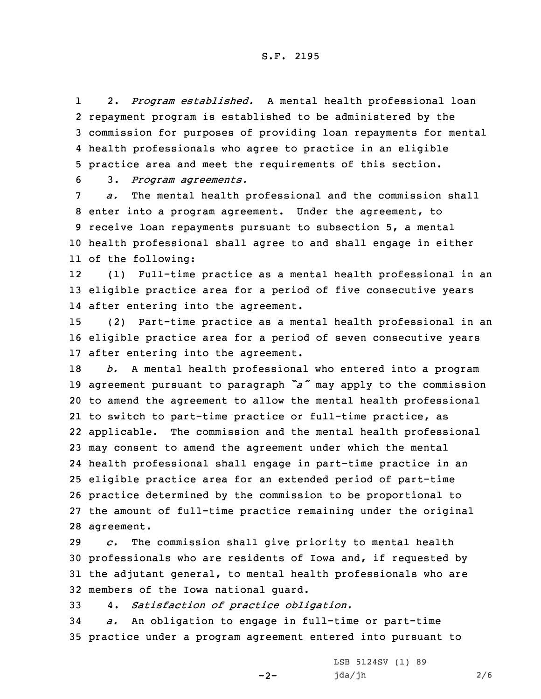## S.F. 2195

1 2. *Program established.* <sup>A</sup> mental health professional loan repayment program is established to be administered by the commission for purposes of providing loan repayments for mental health professionals who agree to practice in an eligible practice area and meet the requirements of this section.

6 3. *Program agreements.*

 *a.* The mental health professional and the commission shall enter into <sup>a</sup> program agreement. Under the agreement, to receive loan repayments pursuant to subsection 5, <sup>a</sup> mental health professional shall agree to and shall engage in either of the following:

12 (1) Full-time practice as <sup>a</sup> mental health professional in an 13 eligible practice area for <sup>a</sup> period of five consecutive years 14 after entering into the agreement.

15 (2) Part-time practice as <sup>a</sup> mental health professional in an 16 eligible practice area for <sup>a</sup> period of seven consecutive years 17 after entering into the agreement.

 *b.* <sup>A</sup> mental health professional who entered into <sup>a</sup> program agreement pursuant to paragraph *"a"* may apply to the commission to amend the agreement to allow the mental health professional to switch to part-time practice or full-time practice, as applicable. The commission and the mental health professional may consent to amend the agreement under which the mental health professional shall engage in part-time practice in an eligible practice area for an extended period of part-time practice determined by the commission to be proportional to the amount of full-time practice remaining under the original agreement.

 *c.* The commission shall give priority to mental health professionals who are residents of Iowa and, if requested by the adjutant general, to mental health professionals who are members of the Iowa national guard.

33 4. *Satisfaction of practice obligation.*

34 *a.* An obligation to engage in full-time or part-time 35 practice under <sup>a</sup> program agreement entered into pursuant to

 $-2-$ 

LSB 5124SV (1) 89 jda/jh 2/6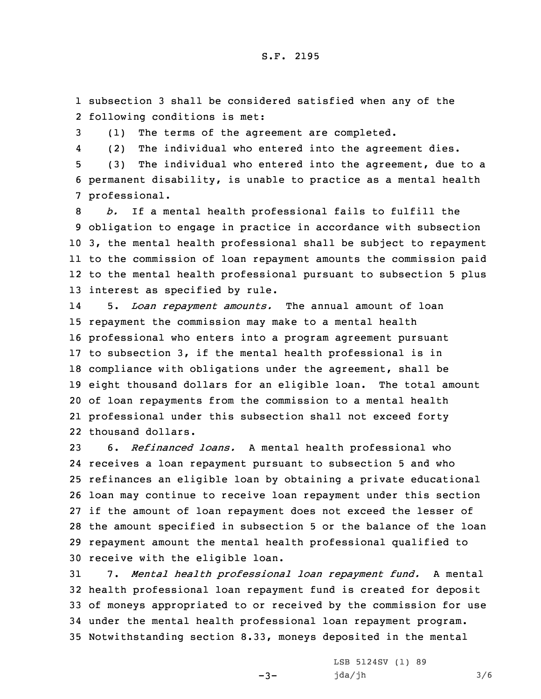1 subsection 3 shall be considered satisfied when any of the 2 following conditions is met:

3 (1) The terms of the agreement are completed.

4(2) The individual who entered into the agreement dies.

5 (3) The individual who entered into the agreement, due to <sup>a</sup> 6 permanent disability, is unable to practice as <sup>a</sup> mental health 7 professional.

 *b.* If <sup>a</sup> mental health professional fails to fulfill the obligation to engage in practice in accordance with subsection 3, the mental health professional shall be subject to repayment to the commission of loan repayment amounts the commission paid to the mental health professional pursuant to subsection 5 plus interest as specified by rule.

14 5. *Loan repayment amounts.* The annual amount of loan repayment the commission may make to <sup>a</sup> mental health professional who enters into <sup>a</sup> program agreement pursuant to subsection 3, if the mental health professional is in compliance with obligations under the agreement, shall be eight thousand dollars for an eligible loan. The total amount of loan repayments from the commission to <sup>a</sup> mental health professional under this subsection shall not exceed forty thousand dollars.

 6. *Refinanced loans.* <sup>A</sup> mental health professional who receives <sup>a</sup> loan repayment pursuant to subsection 5 and who refinances an eligible loan by obtaining <sup>a</sup> private educational loan may continue to receive loan repayment under this section if the amount of loan repayment does not exceed the lesser of the amount specified in subsection 5 or the balance of the loan repayment amount the mental health professional qualified to receive with the eligible loan.

 7. *Mental health professional loan repayment fund.* <sup>A</sup> mental health professional loan repayment fund is created for deposit of moneys appropriated to or received by the commission for use under the mental health professional loan repayment program. Notwithstanding section 8.33, moneys deposited in the mental

 $-3-$ 

LSB 5124SV (1) 89 jda/jh 3/6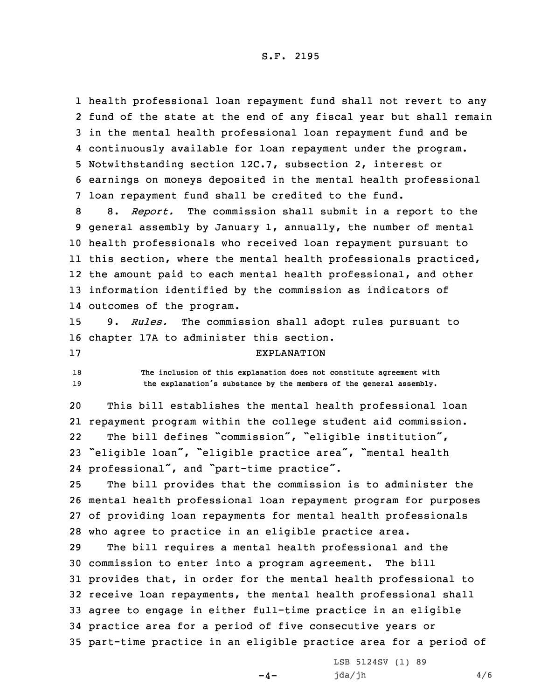## S.F. 2195

 health professional loan repayment fund shall not revert to any fund of the state at the end of any fiscal year but shall remain in the mental health professional loan repayment fund and be continuously available for loan repayment under the program. Notwithstanding section 12C.7, subsection 2, interest or earnings on moneys deposited in the mental health professional loan repayment fund shall be credited to the fund.

 8. *Report.* The commission shall submit in <sup>a</sup> report to the general assembly by January 1, annually, the number of mental health professionals who received loan repayment pursuant to this section, where the mental health professionals practiced, the amount paid to each mental health professional, and other information identified by the commission as indicators of outcomes of the program.

15 9. *Rules.* The commission shall adopt rules pursuant to 16 chapter 17A to administer this section.

## 17 EXPLANATION

18 **The inclusion of this explanation does not constitute agreement with** <sup>19</sup> **the explanation's substance by the members of the general assembly.**

 This bill establishes the mental health professional loan repayment program within the college student aid commission. 22The bill defines "commission", "eligible institution", "eligible loan", "eligible practice area", "mental health professional", and "part-time practice".

 The bill provides that the commission is to administer the mental health professional loan repayment program for purposes of providing loan repayments for mental health professionals who agree to practice in an eligible practice area.

 The bill requires <sup>a</sup> mental health professional and the commission to enter into <sup>a</sup> program agreement. The bill provides that, in order for the mental health professional to receive loan repayments, the mental health professional shall agree to engage in either full-time practice in an eligible practice area for <sup>a</sup> period of five consecutive years or part-time practice in an eligible practice area for <sup>a</sup> period of

 $-4-$ 

LSB 5124SV (1) 89 jda/jh 4/6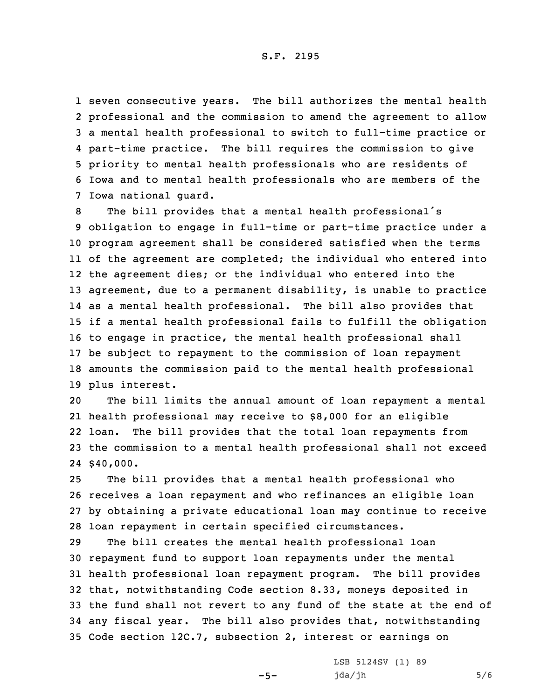seven consecutive years. The bill authorizes the mental health professional and the commission to amend the agreement to allow <sup>a</sup> mental health professional to switch to full-time practice or 4 part-time practice. The bill requires the commission to give priority to mental health professionals who are residents of Iowa and to mental health professionals who are members of the Iowa national guard.

 The bill provides that <sup>a</sup> mental health professional's obligation to engage in full-time or part-time practice under <sup>a</sup> program agreement shall be considered satisfied when the terms of the agreement are completed; the individual who entered into the agreement dies; or the individual who entered into the agreement, due to <sup>a</sup> permanent disability, is unable to practice as <sup>a</sup> mental health professional. The bill also provides that if <sup>a</sup> mental health professional fails to fulfill the obligation to engage in practice, the mental health professional shall be subject to repayment to the commission of loan repayment amounts the commission paid to the mental health professional plus interest.

 The bill limits the annual amount of loan repayment <sup>a</sup> mental health professional may receive to \$8,000 for an eligible loan. The bill provides that the total loan repayments from the commission to <sup>a</sup> mental health professional shall not exceed 24 \$40,000.

 The bill provides that <sup>a</sup> mental health professional who receives <sup>a</sup> loan repayment and who refinances an eligible loan by obtaining <sup>a</sup> private educational loan may continue to receive loan repayment in certain specified circumstances.

 The bill creates the mental health professional loan repayment fund to support loan repayments under the mental health professional loan repayment program. The bill provides that, notwithstanding Code section 8.33, moneys deposited in the fund shall not revert to any fund of the state at the end of any fiscal year. The bill also provides that, notwithstanding Code section 12C.7, subsection 2, interest or earnings on

 $-5-$ 

LSB 5124SV (1) 89  $jda/jh$  5/6